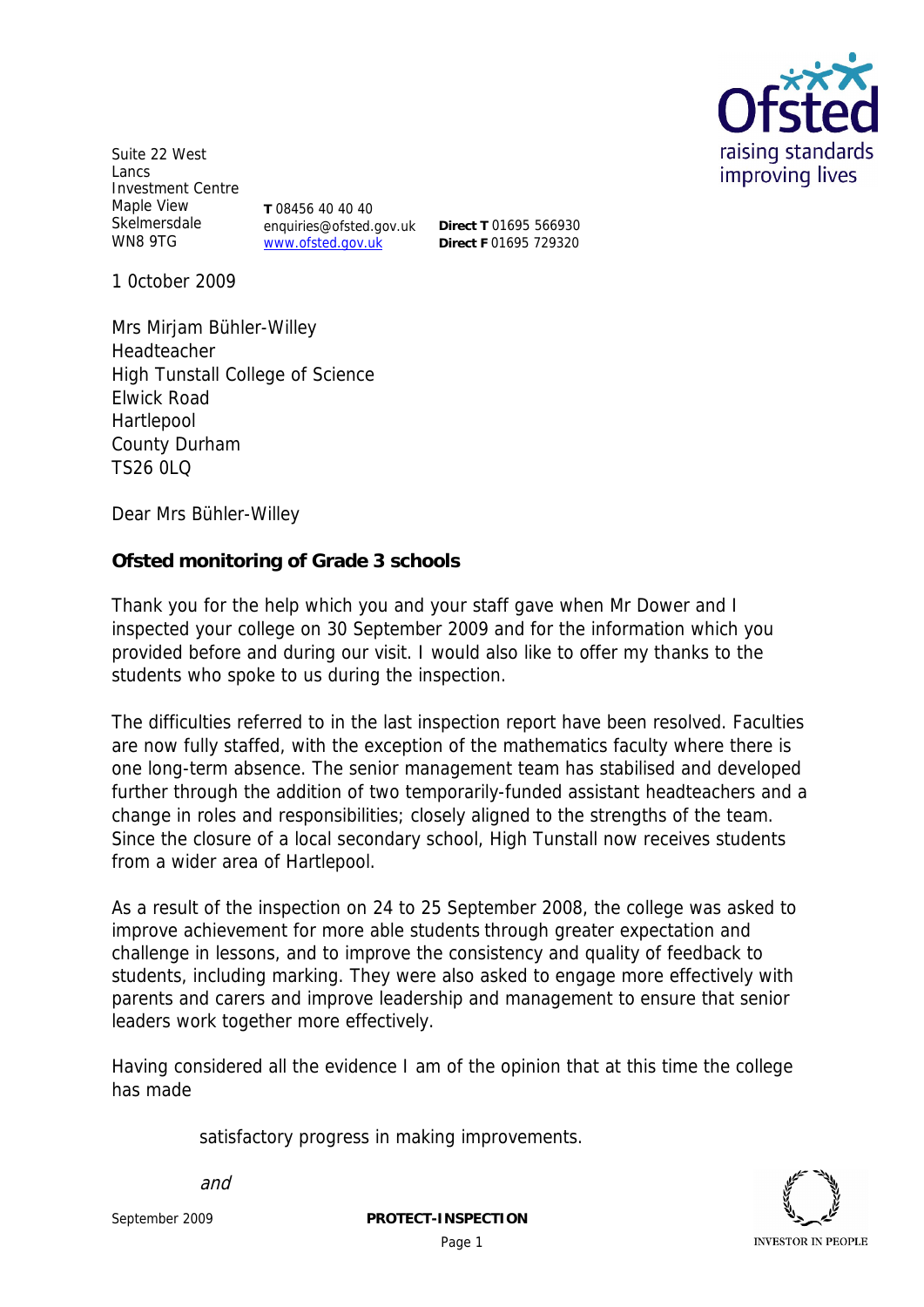

Suite 22 West Lancs Investment Centre Maple View Skelmersdale WN8 9TG

**T** 08456 40 40 40 enquiries@ofsted.gov.uk www.ofsted.gov.uk

**Direct T** 01695 566930 **Direct F** 01695 729320

1 0ctober 2009

Mrs Mirjam Bühler-Willey Headteacher High Tunstall College of Science Elwick Road Hartlepool County Durham TS26 0LQ

Dear Mrs Bühler-Willey

**Ofsted monitoring of Grade 3 schools**

Thank you for the help which you and your staff gave when Mr Dower and I inspected your college on 30 September 2009 and for the information which you provided before and during our visit. I would also like to offer my thanks to the students who spoke to us during the inspection.

The difficulties referred to in the last inspection report have been resolved. Faculties are now fully staffed, with the exception of the mathematics faculty where there is one long-term absence. The senior management team has stabilised and developed further through the addition of two temporarily-funded assistant headteachers and a change in roles and responsibilities; closely aligned to the strengths of the team. Since the closure of a local secondary school, High Tunstall now receives students from a wider area of Hartlepool.

As a result of the inspection on 24 to 25 September 2008, the college was asked to improve achievement for more able students through greater expectation and challenge in lessons, and to improve the consistency and quality of feedback to students, including marking. They were also asked to engage more effectively with parents and carers and improve leadership and management to ensure that senior leaders work together more effectively.

Having considered all the evidence I am of the opinion that at this time the college has made

satisfactory progress in making improvements.



and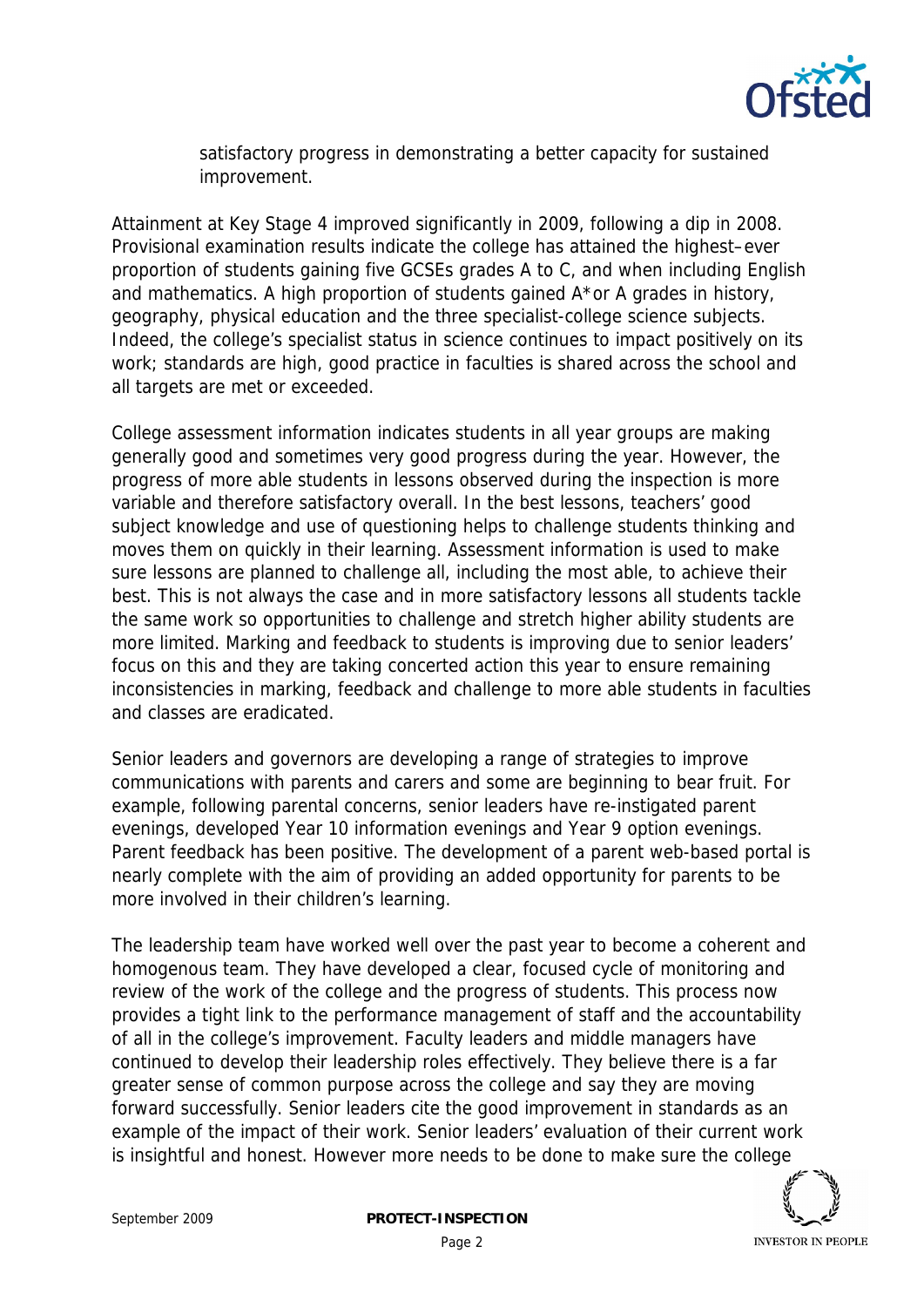

satisfactory progress in demonstrating a better capacity for sustained improvement.

Attainment at Key Stage 4 improved significantly in 2009, following a dip in 2008. Provisional examination results indicate the college has attained the highest–ever proportion of students gaining five GCSEs grades A to C, and when including English and mathematics. A high proportion of students gained A\*or A grades in history, geography, physical education and the three specialist-college science subjects. Indeed, the college's specialist status in science continues to impact positively on its work; standards are high, good practice in faculties is shared across the school and all targets are met or exceeded.

College assessment information indicates students in all year groups are making generally good and sometimes very good progress during the year. However, the progress of more able students in lessons observed during the inspection is more variable and therefore satisfactory overall. In the best lessons, teachers' good subject knowledge and use of questioning helps to challenge students thinking and moves them on quickly in their learning. Assessment information is used to make sure lessons are planned to challenge all, including the most able, to achieve their best. This is not always the case and in more satisfactory lessons all students tackle the same work so opportunities to challenge and stretch higher ability students are more limited. Marking and feedback to students is improving due to senior leaders' focus on this and they are taking concerted action this year to ensure remaining inconsistencies in marking, feedback and challenge to more able students in faculties and classes are eradicated.

Senior leaders and governors are developing a range of strategies to improve communications with parents and carers and some are beginning to bear fruit. For example, following parental concerns, senior leaders have re-instigated parent evenings, developed Year 10 information evenings and Year 9 option evenings. Parent feedback has been positive. The development of a parent web-based portal is nearly complete with the aim of providing an added opportunity for parents to be more involved in their children's learning.

The leadership team have worked well over the past year to become a coherent and homogenous team. They have developed a clear, focused cycle of monitoring and review of the work of the college and the progress of students. This process now provides a tight link to the performance management of staff and the accountability of all in the college's improvement. Faculty leaders and middle managers have continued to develop their leadership roles effectively. They believe there is a far greater sense of common purpose across the college and say they are moving forward successfully. Senior leaders cite the good improvement in standards as an example of the impact of their work. Senior leaders' evaluation of their current work is insightful and honest. However more needs to be done to make sure the college